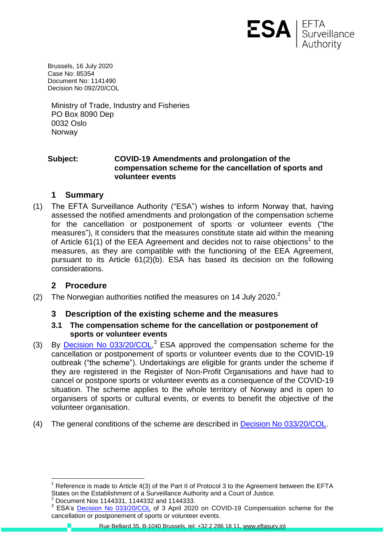

Brussels, 16 July 2020 Case No: 85354 Document No: 1141490 Decision No 092/20/COL

Ministry of Trade, Industry and Fisheries PO Box 8090 Dep 0032 Oslo **Norway** 

### **Subject: COVID-19 Amendments and prolongation of the compensation scheme for the cancellation of sports and volunteer events**

## **1 Summary**

(1) The EFTA Surveillance Authority ("ESA") wishes to inform Norway that, having assessed the notified amendments and prolongation of the compensation scheme for the cancellation or postponement of sports or volunteer events ("the measures"), it considers that the measures constitute state aid within the meaning of Article  $61(1)$  of the EEA Agreement and decides not to raise objections<sup>1</sup> to the measures, as they are compatible with the functioning of the EEA Agreement, pursuant to its Article 61(2)(b). ESA has based its decision on the following considerations.

# **2 Procedure**

(2) The Norwegian authorities notified the measures on 14 July 2020. $^2$ 

# **3 Description of the existing scheme and the measures**

### **3.1 The compensation scheme for the cancellation or postponement of sports or volunteer events**

- (3) By [Decision No 033/20/COL,](https://www.eftasurv.int/cms/sites/default/files/documents/gopro/5324-College%20Decision%20033%2020%20COL%20-%20State%20aid%20-%20Norway%20-%20Compensation%20scheme%20for%20the%20cancellation%20or%20postponement%20of%20spor.pdf)<sup>3</sup> ESA approved the compensation scheme for the cancellation or postponement of sports or volunteer events due to the COVID-19 outbreak ("the scheme"). Undertakings are eligible for grants under the scheme if they are registered in the Register of Non-Profit Organisations and have had to cancel or postpone sports or volunteer events as a consequence of the COVID-19 situation. The scheme applies to the whole territory of Norway and is open to organisers of sports or cultural events, or events to benefit the objective of the volunteer organisation.
- (4) The general conditions of the scheme are described in [Decision No 033/20/COL.](https://www.eftasurv.int/cms/sites/default/files/documents/gopro/5324-College%20Decision%20033%2020%20COL%20-%20State%20aid%20-%20Norway%20-%20Compensation%20scheme%20for%20the%20cancellation%20or%20postponement%20of%20spor.pdf)

<sup>2</sup> Document Nos 1144331, 1144332 and 1144333.

 $\overline{a}$ Reference is made to Article 4(3) of the Part II of Protocol 3 to the Agreement between the EFTA States on the Establishment of a Surveillance Authority and a Court of Justice.

<sup>&</sup>lt;sup>3</sup> ESA's **Decision No 033/20/COL** of 3 April 2020 on COVID-19 Compensation scheme for the cancellation or postponement of sports or volunteer events.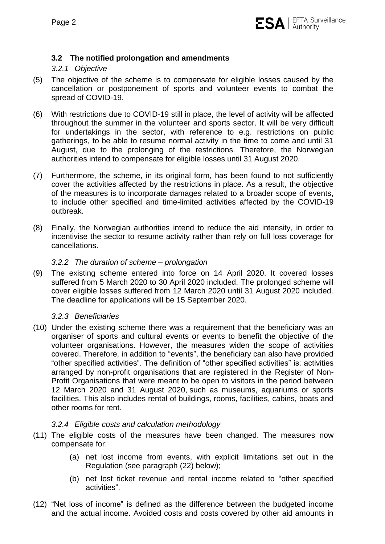### **3.2 The notified prolongation and amendments**

### *3.2.1 Objective*

- (5) The objective of the scheme is to compensate for eligible losses caused by the cancellation or postponement of sports and volunteer events to combat the spread of COVID-19.
- (6) With restrictions due to COVID-19 still in place, the level of activity will be affected throughout the summer in the volunteer and sports sector. It will be very difficult for undertakings in the sector, with reference to e.g. restrictions on public gatherings, to be able to resume normal activity in the time to come and until 31 August, due to the prolonging of the restrictions. Therefore, the Norwegian authorities intend to compensate for eligible losses until 31 August 2020.
- (7) Furthermore, the scheme, in its original form, has been found to not sufficiently cover the activities affected by the restrictions in place. As a result, the objective of the measures is to incorporate damages related to a broader scope of events, to include other specified and time-limited activities affected by the COVID-19 outbreak.
- (8) Finally, the Norwegian authorities intend to reduce the aid intensity, in order to incentivise the sector to resume activity rather than rely on full loss coverage for cancellations.

#### *3.2.2 The duration of scheme – prolongation*

(9) The existing scheme entered into force on 14 April 2020. It covered losses suffered from 5 March 2020 to 30 April 2020 included. The prolonged scheme will cover eligible losses suffered from 12 March 2020 until 31 August 2020 included. The deadline for applications will be 15 September 2020.

#### *3.2.3 Beneficiaries*

(10) Under the existing scheme there was a requirement that the beneficiary was an organiser of sports and cultural events or events to benefit the objective of the volunteer organisations. However, the measures widen the scope of activities covered. Therefore, in addition to "events", the beneficiary can also have provided "other specified activities". The definition of "other specified activities" is: activities arranged by non-profit organisations that are registered in the Register of Non-Profit Organisations that were meant to be open to visitors in the period between 12 March 2020 and 31 August 2020, such as museums, aquariums or sports facilities. This also includes rental of buildings, rooms, facilities, cabins, boats and other rooms for rent.

#### *3.2.4 Eligible costs and calculation methodology*

- (11) The eligible costs of the measures have been changed. The measures now compensate for:
	- (a) net lost income from events, with explicit limitations set out in the Regulation (see paragraph [\(22\)](#page-3-0) below);
	- (b) net lost ticket revenue and rental income related to "other specified activities".
- (12) "Net loss of income" is defined as the difference between the budgeted income and the actual income. Avoided costs and costs covered by other aid amounts in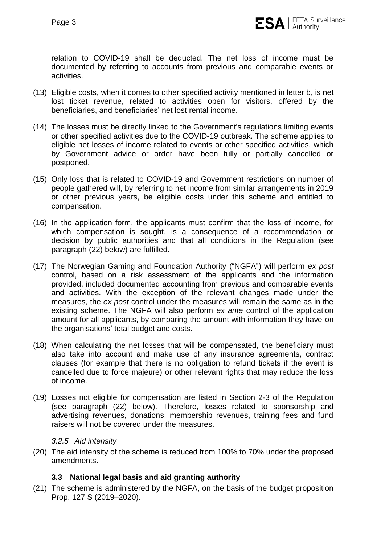

relation to COVID-19 shall be deducted. The net loss of income must be documented by referring to accounts from previous and comparable events or activities.

- (13) Eligible costs, when it comes to other specified activity mentioned in letter b, is net lost ticket revenue, related to activities open for visitors, offered by the beneficiaries, and beneficiaries' net lost rental income.
- (14) The losses must be directly linked to the Government's regulations limiting events or other specified activities due to the COVID-19 outbreak. The scheme applies to eligible net losses of income related to events or other specified activities, which by Government advice or order have been fully or partially cancelled or postponed.
- (15) Only loss that is related to COVID-19 and Government restrictions on number of people gathered will, by referring to net income from similar arrangements in 2019 or other previous years, be eligible costs under this scheme and entitled to compensation.
- (16) In the application form, the applicants must confirm that the loss of income, for which compensation is sought, is a consequence of a recommendation or decision by public authorities and that all conditions in the Regulation (see paragraph [\(22\)](#page-3-0) below) are fulfilled.
- (17) The Norwegian Gaming and Foundation Authority ("NGFA") will perform *ex post* control, based on a risk assessment of the applicants and the information provided, included documented accounting from previous and comparable events and activities. With the exception of the relevant changes made under the measures, the *ex post* control under the measures will remain the same as in the existing scheme. The NGFA will also perform *ex ante* control of the application amount for all applicants, by comparing the amount with information they have on the organisations' total budget and costs.
- (18) When calculating the net losses that will be compensated, the beneficiary must also take into account and make use of any insurance agreements, contract clauses (for example that there is no obligation to refund tickets if the event is cancelled due to force majeure) or other relevant rights that may reduce the loss of income.
- (19) Losses not eligible for compensation are listed in Section 2-3 of the Regulation (see paragraph [\(22\)](#page-3-0) below). Therefore, losses related to sponsorship and advertising revenues, donations, membership revenues, training fees and fund raisers will not be covered under the measures.

#### *3.2.5 Aid intensity*

(20) The aid intensity of the scheme is reduced from 100% to 70% under the proposed amendments.

### **3.3 National legal basis and aid granting authority**

(21) The scheme is administered by the NGFA, on the basis of the budget proposition Prop. 127 S (2019–2020).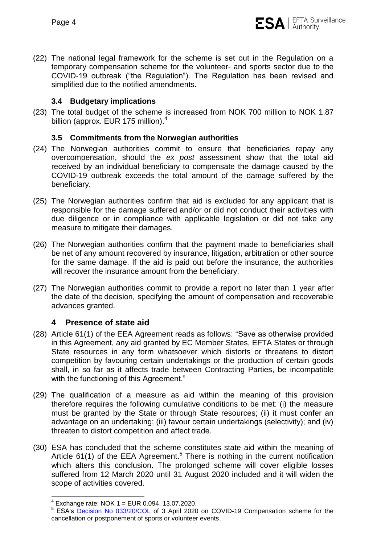

<span id="page-3-0"></span>(22) The national legal framework for the scheme is set out in the Regulation on a temporary compensation scheme for the volunteer- and sports sector due to the COVID-19 outbreak ("the Regulation"). The Regulation has been revised and simplified due to the notified amendments.

#### **3.4 Budgetary implications**

(23) The total budget of the scheme is increased from NOK 700 million to NOK 1.87 billion (approx. EUR 175 million).<sup>4</sup>

### **3.5 Commitments from the Norwegian authorities**

- (24) The Norwegian authorities commit to ensure that beneficiaries repay any overcompensation, should the *ex post* assessment show that the total aid received by an individual beneficiary to compensate the damage caused by the COVID-19 outbreak exceeds the total amount of the damage suffered by the beneficiary.
- (25) The Norwegian authorities confirm that aid is excluded for any applicant that is responsible for the damage suffered and/or or did not conduct their activities with due diligence or in compliance with applicable legislation or did not take any measure to mitigate their damages.
- (26) The Norwegian authorities confirm that the payment made to beneficiaries shall be net of any amount recovered by insurance, litigation, arbitration or other source for the same damage. If the aid is paid out before the insurance, the authorities will recover the insurance amount from the beneficiary.
- (27) The Norwegian authorities commit to provide a report no later than 1 year after the date of the decision, specifying the amount of compensation and recoverable advances granted.

### **4 Presence of state aid**

- (28) Article 61(1) of the EEA Agreement reads as follows: "Save as otherwise provided in this Agreement, any aid granted by EC Member States, EFTA States or through State resources in any form whatsoever which distorts or threatens to distort competition by favouring certain undertakings or the production of certain goods shall, in so far as it affects trade between Contracting Parties, be incompatible with the functioning of this Agreement."
- (29) The qualification of a measure as aid within the meaning of this provision therefore requires the following cumulative conditions to be met: (i) the measure must be granted by the State or through State resources; (ii) it must confer an advantage on an undertaking; (iii) favour certain undertakings (selectivity); and (iv) threaten to distort competition and affect trade.
- (30) ESA has concluded that the scheme constitutes state aid within the meaning of Article 61(1) of the EEA Agreement.<sup>5</sup> There is nothing in the current notification which alters this conclusion. The prolonged scheme will cover eligible losses suffered from 12 March 2020 until 31 August 2020 included and it will widen the scope of activities covered.

 4 Exchange rate: NOK 1 = EUR 0.094, 13.07.2020.

<sup>&</sup>lt;sup>5</sup> ESA's **Decision No 033/20/COL** of 3 April 2020 on COVID-19 Compensation scheme for the cancellation or postponement of sports or volunteer events.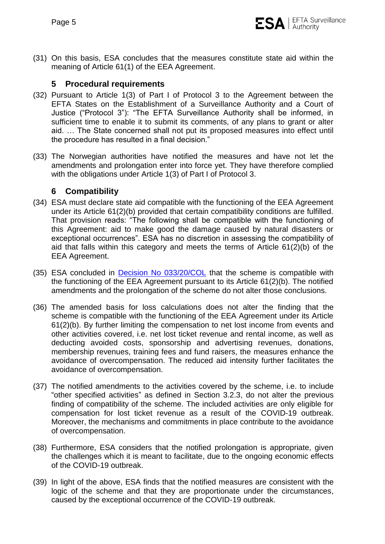(31) On this basis, ESA concludes that the measures constitute state aid within the meaning of Article 61(1) of the EEA Agreement.

# **5 Procedural requirements**

- (32) Pursuant to Article 1(3) of Part I of Protocol 3 to the Agreement between the EFTA States on the Establishment of a Surveillance Authority and a Court of Justice ("Protocol 3"): "The EFTA Surveillance Authority shall be informed, in sufficient time to enable it to submit its comments, of any plans to grant or alter aid. … The State concerned shall not put its proposed measures into effect until the procedure has resulted in a final decision."
- (33) The Norwegian authorities have notified the measures and have not let the amendments and prolongation enter into force yet. They have therefore complied with the obligations under Article 1(3) of Part I of Protocol 3.

## **6 Compatibility**

- (34) ESA must declare state aid compatible with the functioning of the EEA Agreement under its Article 61(2)(b) provided that certain compatibility conditions are fulfilled. That provision reads: "The following shall be compatible with the functioning of this Agreement: aid to make good the damage caused by natural disasters or exceptional occurrences". ESA has no discretion in assessing the compatibility of aid that falls within this category and meets the terms of Article 61(2)(b) of the EEA Agreement.
- (35) ESA concluded in [Decision No 033/20/COL](https://www.eftasurv.int/cms/sites/default/files/documents/gopro/5324-College%20Decision%20033%2020%20COL%20-%20State%20aid%20-%20Norway%20-%20Compensation%20scheme%20for%20the%20cancellation%20or%20postponement%20of%20spor.pdf) that the scheme is compatible with the functioning of the EEA Agreement pursuant to its Article 61(2)(b). The notified amendments and the prolongation of the scheme do not alter those conclusions.
- (36) The amended basis for loss calculations does not alter the finding that the scheme is compatible with the functioning of the EEA Agreement under its Article 61(2)(b). By further limiting the compensation to net lost income from events and other activities covered, i.e. net lost ticket revenue and rental income, as well as deducting avoided costs, sponsorship and advertising revenues, donations, membership revenues, training fees and fund raisers, the measures enhance the avoidance of overcompensation. The reduced aid intensity further facilitates the avoidance of overcompensation.
- (37) The notified amendments to the activities covered by the scheme, i.e. to include "other specified activities" as defined in Section 3.2.3, do not alter the previous finding of compatibility of the scheme. The included activities are only eligible for compensation for lost ticket revenue as a result of the COVID-19 outbreak. Moreover, the mechanisms and commitments in place contribute to the avoidance of overcompensation.
- (38) Furthermore, ESA considers that the notified prolongation is appropriate, given the challenges which it is meant to facilitate, due to the ongoing economic effects of the COVID-19 outbreak.
- (39) In light of the above, ESA finds that the notified measures are consistent with the logic of the scheme and that they are proportionate under the circumstances, caused by the exceptional occurrence of the COVID-19 outbreak.